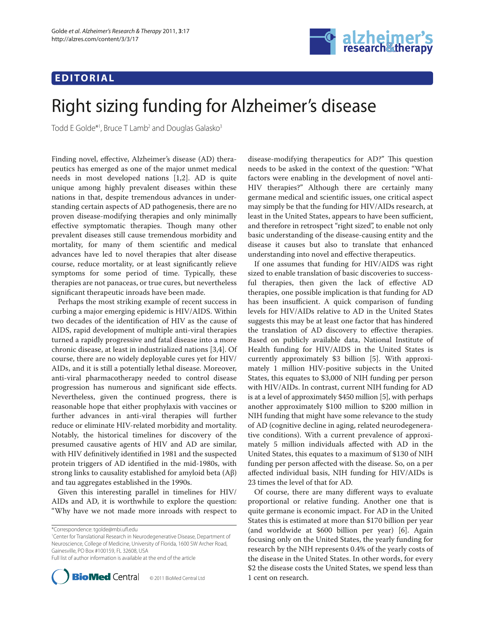## **EDITORIAL**



# Right sizing funding for Alzheimer's disease

Todd E Golde\*1, Bruce T Lamb<sup>2</sup> and Douglas Galasko<sup>3</sup>

Finding novel, effective, Alzheimer's disease (AD) therapeutics has emerged as one of the major unmet medical needs in most developed nations [1,2]. AD is quite unique among highly prevalent diseases within these nations in that, despite tremendous advances in understanding certain aspects of AD pathogenesis, there are no proven disease-modifying therapies and only minimally effective symptomatic therapies. Though many other prevalent diseases still cause tremendous morbidity and mortality, for many of them scientific and medical advances have led to novel therapies that alter disease course, reduce mortality, or at least significantly relieve symptoms for some period of time. Typically, these therapies are not panaceas, or true cures, but nevertheless significant therapeutic inroads have been made.

Perhaps the most striking example of recent success in curbing a major emerging epidemic is HIV/AIDS. Within two decades of the identification of HIV as the cause of AIDS, rapid development of multiple anti-viral therapies turned a rapidly progressive and fatal disease into a more chronic disease, at least in industrialized nations [3,4]. Of course, there are no widely deployable cures yet for HIV/ AIDs, and it is still a potentially lethal disease. Moreover, anti-viral pharmacotherapy needed to control disease progression has numerous and significant side effects. Nevertheless, given the continued progress, there is reasonable hope that either prophylaxis with vaccines or further advances in anti-viral therapies will further reduce or eliminate HIV-related morbidity and mortality. Notably, the historical timelines for discovery of the presumed causative agents of HIV and AD are similar, with HIV definitively identified in 1981 and the suspected protein triggers of AD identified in the mid-1980s, with strong links to causality established for amyloid beta (Aβ) and tau aggregates established in the 1990s.

Given this interesting parallel in timelines for HIV/ AIDs and AD, it is worthwhile to explore the question: "Why have we not made more inroads with respect to

1 Center for Translational Research in Neurodegenerative Disease, Department of Neuroscience, College of Medicine, University of Florida, 1600 SW Archer Road, Gainesville, PO Box #100159, FL 32608, USA Full list of author information is available at the end of the article



© 2011 BioMed Central Ltd

disease-modifying therapeutics for AD?" This question needs to be asked in the context of the question: "What factors were enabling in the development of novel anti-HIV therapies?" Although there are certainly many germane medical and scientific issues, one critical aspect may simply be that the funding for HIV/AIDs research, at least in the United States, appears to have been sufficient, and therefore in retrospect "right sized", to enable not only basic understanding of the disease-causing entity and the disease it causes but also to translate that enhanced understanding into novel and effective therapeutics.

If one assumes that funding for HIV/AIDS was right sized to enable translation of basic discoveries to successful therapies, then given the lack of effective AD therapies, one possible implication is that funding for AD has been insufficient. A quick comparison of funding levels for HIV/AIDs relative to AD in the United States suggests this may be at least one factor that has hindered the translation of AD discovery to effective therapies. Based on publicly available data, National Institute of Health funding for HIV/AIDS in the United States is currently approximately \$3 billion [5]. With approximately 1 million HIV-positive subjects in the United States, this equates to \$3,000 of NIH funding per person with HIV/AIDs. In contrast, current NIH funding for AD is at a level of approximately \$450 million [5], with perhaps another approximately \$100 million to \$200 million in NIH funding that might have some relevance to the study of AD (cognitive decline in aging, related neuro degenerative conditions). With a current prevalence of approximately 5 million individuals affected with AD in the United States, this equates to a maximum of \$130 of NIH funding per person affected with the disease. So, on a per affected individual basis, NIH funding for HIV/AIDs is 23 times the level of that for AD.

Of course, there are many different ways to evaluate proportional or relative funding. Another one that is quite germane is economic impact. For AD in the United States this is estimated at more than \$170 billion per year (and worldwide at \$600 billion per year) [6]. Again focusing only on the United States, the yearly funding for research by the NIH represents 0.4% of the yearly costs of the disease in the United States. In other words, for every \$2 the disease costs the United States, we spend less than

<sup>\*</sup>Correspondence: tgolde@mbi.ufl .edu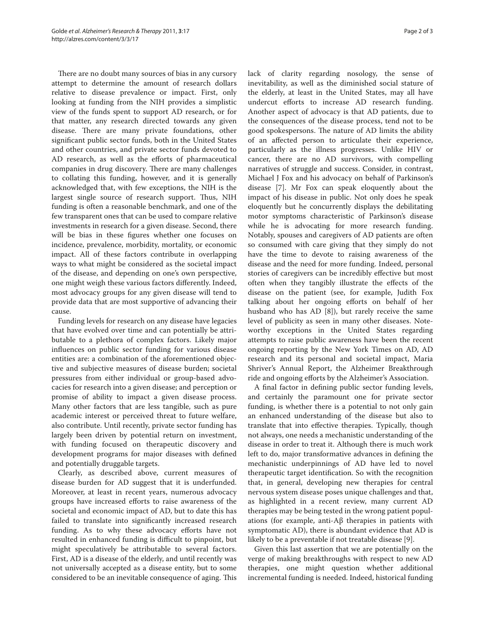There are no doubt many sources of bias in any cursory attempt to determine the amount of research dollars relative to disease prevalence or impact. First, only looking at funding from the NIH provides a simplistic view of the funds spent to support AD research, or for that matter, any research directed towards any given disease. There are many private foundations, other significant public sector funds, both in the United States and other countries, and private sector funds devoted to AD research, as well as the efforts of pharmaceutical companies in drug discovery. There are many challenges to collating this funding, however, and it is generally acknowledged that, with few exceptions, the NIH is the largest single source of research support. Thus, NIH funding is often a reasonable benchmark, and one of the few transparent ones that can be used to compare relative investments in research for a given disease. Second, there will be bias in these figures whether one focuses on incidence, prevalence, morbidity, mortality, or economic impact. All of these factors contribute in overlapping ways to what might be considered as the societal impact of the disease, and depending on one's own perspective, one might weigh these various factors differently. Indeed, most advocacy groups for any given disease will tend to provide data that are most supportive of advancing their cause.

Funding levels for research on any disease have legacies that have evolved over time and can potentially be attributable to a plethora of complex factors. Likely major influences on public sector funding for various disease entities are: a combination of the aforementioned objective and subjective measures of disease burden; societal pressures from either individual or group-based advocacies for research into a given disease; and perception or promise of ability to impact a given disease process. Many other factors that are less tangible, such as pure academic interest or perceived threat to future welfare, also contribute. Until recently, private sector funding has largely been driven by potential return on investment, with funding focused on therapeutic discovery and development programs for major diseases with defined and potentially druggable targets.

Clearly, as described above, current measures of disease burden for AD suggest that it is underfunded. Moreover, at least in recent years, numerous advocacy groups have increased efforts to raise awareness of the societal and economic impact of AD, but to date this has failed to translate into significantly increased research funding. As to why these advocacy efforts have not resulted in enhanced funding is difficult to pinpoint, but might speculatively be attributable to several factors. First, AD is a disease of the elderly, and until recently was not universally accepted as a disease entity, but to some considered to be an inevitable consequence of aging. This

lack of clarity regarding nosology, the sense of inevitability, as well as the diminished social stature of the elderly, at least in the United States, may all have undercut efforts to increase AD research funding. Another aspect of advocacy is that AD patients, due to the consequences of the disease process, tend not to be good spokespersons. The nature of AD limits the ability of an aff ected person to articulate their experience, particularly as the illness progresses. Unlike HIV or cancer, there are no AD survivors, with compelling narratives of struggle and success. Consider, in contrast, Michael J Fox and his advocacy on behalf of Parkinson's disease [7]. Mr Fox can speak eloquently about the impact of his disease in public. Not only does he speak eloquently but he concurrently displays the debilitating motor symptoms characteristic of Parkinson's disease while he is advocating for more research funding. Notably, spouses and caregivers of AD patients are often so consumed with care giving that they simply do not have the time to devote to raising awareness of the disease and the need for more funding. Indeed, personal stories of caregivers can be incredibly effective but most often when they tangibly illustrate the effects of the disease on the patient (see, for example, Judith Fox talking about her ongoing efforts on behalf of her husband who has AD [8]), but rarely receive the same level of publicity as seen in many other diseases. Noteworthy exceptions in the United States regarding attempts to raise public awareness have been the recent ongoing reporting by the New York Times on AD, AD research and its personal and societal impact, Maria Shriver's Annual Report, the Alzheimer Breakthrough ride and ongoing efforts by the Alzheimer's Association.

A final factor in defining public sector funding levels, and certainly the paramount one for private sector funding, is whether there is a potential to not only gain an enhanced understanding of the disease but also to translate that into effective therapies. Typically, though not always, one needs a mechanistic understanding of the disease in order to treat it. Although there is much work left to do, major transformative advances in defining the mechanistic underpinnings of AD have led to novel thera peutic target identification. So with the recognition that, in general, developing new therapies for central nervous system disease poses unique challenges and that, as highlighted in a recent review, many current AD therapies may be being tested in the wrong patient populations (for example, anti-Aβ therapies in patients with symptomatic AD), there is abundant evidence that AD is likely to be a preventable if not treatable disease [9].

Given this last assertion that we are potentially on the verge of making breakthroughs with respect to new AD therapies, one might question whether additional incremental funding is needed. Indeed, historical funding